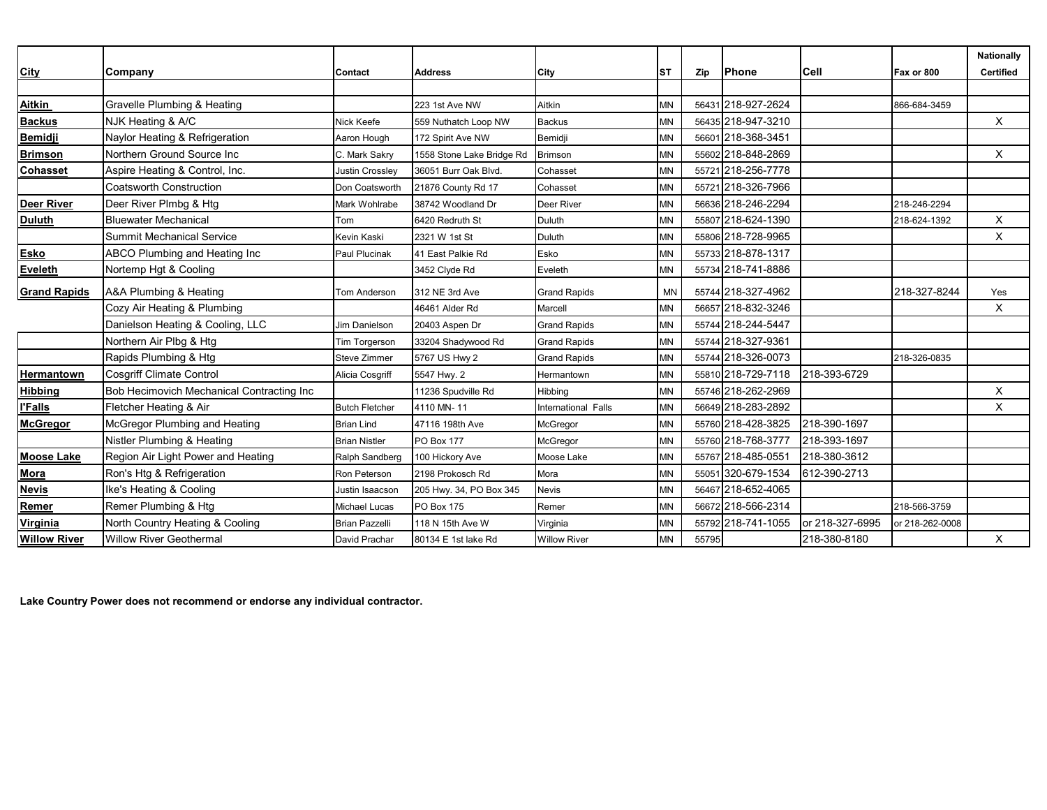|                     |                                           |                        |                           |                     |           |       |                    |                 |                 | <b>Nationally</b> |
|---------------------|-------------------------------------------|------------------------|---------------------------|---------------------|-----------|-------|--------------------|-----------------|-----------------|-------------------|
| <b>City</b>         | Company                                   | Contact                | <b>Address</b>            | City                | <b>ST</b> | Zip   | Phone              | <b>Cell</b>     | Fax or 800      | <b>Certified</b>  |
|                     |                                           |                        |                           |                     |           |       |                    |                 |                 |                   |
| <b>Aitkin</b>       | Gravelle Plumbing & Heating               |                        | 223 1st Ave NW            | Aitkin              | <b>MN</b> |       | 56431 218-927-2624 |                 | 866-684-3459    |                   |
| <b>Backus</b>       | NJK Heating & A/C                         | Nick Keefe             | 559 Nuthatch Loop NW      | <b>Backus</b>       | <b>MN</b> |       | 56435 218-947-3210 |                 |                 | X                 |
| <b>Bemidji</b>      | Naylor Heating & Refrigeration            | Aaron Hough            | 172 Spirit Ave NW         | Bemidji             | MN        |       | 56601 218-368-3451 |                 |                 |                   |
| <b>Brimson</b>      | Northern Ground Source Inc                | C. Mark Sakry          | 1558 Stone Lake Bridge Rd | <b>Brimson</b>      | <b>MN</b> |       | 55602 218-848-2869 |                 |                 | Χ                 |
| <b>Cohasset</b>     | Aspire Heating & Control, Inc.            | <b>Justin Crossley</b> | 36051 Burr Oak Blvd.      | Cohasset            | MN        |       | 55721 218-256-7778 |                 |                 |                   |
|                     | <b>Coatsworth Construction</b>            | Don Coatsworth         | 21876 County Rd 17        | Cohasset            | <b>MN</b> |       | 55721 218-326-7966 |                 |                 |                   |
| <b>Deer River</b>   | Deer River Plmbg & Htg                    | Mark Wohlrabe          | 38742 Woodland Dr         | Deer River          | <b>MN</b> |       | 56636 218-246-2294 |                 | 218-246-2294    |                   |
| <b>Duluth</b>       | <b>Bluewater Mechanical</b>               | Tom                    | 6420 Redruth St           | Duluth              | <b>MN</b> |       | 55807 218-624-1390 |                 | 218-624-1392    | X                 |
|                     | Summit Mechanical Service                 | Kevin Kaski            | 2321 W 1st St             | Duluth              | <b>MN</b> |       | 55806 218-728-9965 |                 |                 | X                 |
| <b>Esko</b>         | ABCO Plumbing and Heating Inc             | Paul Plucinak          | 41 East Palkie Rd         | Esko                | <b>MN</b> |       | 55733 218-878-1317 |                 |                 |                   |
| <b>Eveleth</b>      | Nortemp Hgt & Cooling                     |                        | 3452 Clyde Rd             | Eveleth             | <b>MN</b> |       | 55734 218-741-8886 |                 |                 |                   |
| <b>Grand Rapids</b> | A&A Plumbing & Heating                    | <b>Tom Anderson</b>    | 312 NE 3rd Ave            | <b>Grand Rapids</b> | <b>MN</b> |       | 55744 218-327-4962 |                 | 218-327-8244    | Yes               |
|                     | Cozy Air Heating & Plumbing               |                        | 46461 Alder Rd            | Marcell             | <b>MN</b> |       | 56657 218-832-3246 |                 |                 | X                 |
|                     | Danielson Heating & Cooling, LLC          | <b>Jim Danielson</b>   | 20403 Aspen Dr            | <b>Grand Rapids</b> | MN        |       | 55744 218-244-5447 |                 |                 |                   |
|                     | Northern Air Plbg & Htg                   | Tim Torgerson          | 33204 Shadywood Rd        | <b>Grand Rapids</b> | MN        |       | 55744 218-327-9361 |                 |                 |                   |
|                     | Rapids Plumbing & Htg                     | Steve Zimmer           | 5767 US Hwy 2             | <b>Grand Rapids</b> | <b>MN</b> |       | 55744 218-326-0073 |                 | 218-326-0835    |                   |
| <b>Hermantown</b>   | <b>Cosgriff Climate Control</b>           | Alicia Cosgriff        | 5547 Hwy. 2               | Hermantown          | <b>MN</b> |       | 55810 218-729-7118 | 218-393-6729    |                 |                   |
| <b>Hibbing</b>      | Bob Hecimovich Mechanical Contracting Inc |                        | 11236 Spudville Rd        | Hibbing             | <b>MN</b> |       | 55746 218-262-2969 |                 |                 | X                 |
| <b>l'Falls</b>      | Fletcher Heating & Air                    | <b>Butch Fletcher</b>  | 4110 MN-11                | International Falls | <b>MN</b> |       | 56649 218-283-2892 |                 |                 | X                 |
| <b>McGregor</b>     | McGregor Plumbing and Heating             | <b>Brian Lind</b>      | 47116 198th Ave           | McGregor            | <b>MN</b> |       | 55760 218-428-3825 | 218-390-1697    |                 |                   |
|                     | Nistler Plumbing & Heating                | <b>Brian Nistler</b>   | <b>PO Box 177</b>         | McGregor            | <b>MN</b> |       | 55760 218-768-3777 | 218-393-1697    |                 |                   |
| <b>Moose Lake</b>   | Region Air Light Power and Heating        | Ralph Sandberg         | 100 Hickory Ave           | Moose Lake          | <b>MN</b> |       | 55767 218-485-0551 | 218-380-3612    |                 |                   |
| Mora                | Ron's Htg & Refrigeration                 | Ron Peterson           | 2198 Prokosch Rd          | Mora                | <b>MN</b> |       | 55051 320-679-1534 | 612-390-2713    |                 |                   |
| <b>Nevis</b>        | Ike's Heating & Cooling                   | Justin Isaacson        | 205 Hwy. 34, PO Box 345   | <b>Nevis</b>        | <b>MN</b> |       | 56467 218-652-4065 |                 |                 |                   |
| Remer               | Remer Plumbing & Htg                      | Michael Lucas          | <b>PO Box 175</b>         | Remer               | <b>MN</b> |       | 56672 218-566-2314 |                 | 218-566-3759    |                   |
| Virginia            | North Country Heating & Cooling           | <b>Brian Pazzelli</b>  | 118 N 15th Ave W          | Virginia            | MN        |       | 55792 218-741-1055 | or 218-327-6995 | or 218-262-0008 |                   |
| <b>Willow River</b> | <b>Willow River Geothermal</b>            | David Prachar          | 80134 E 1st lake Rd       | <b>Willow River</b> | MN        | 55795 |                    | 218-380-8180    |                 | $\mathsf X$       |

**Lake Country Power does not recommend or endorse any individual contractor.**